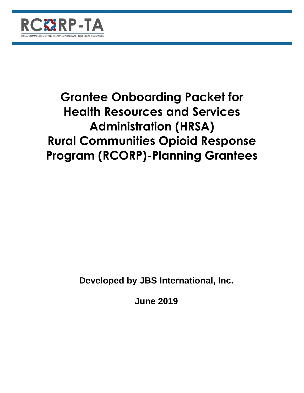

# **Grantee Onboarding Packet for Health Resources and Services Administration (HRSA) Rural Communities Opioid Response Program (RCORP)-Planning Grantees**

**Developed by JBS International, Inc.**

**June 2019**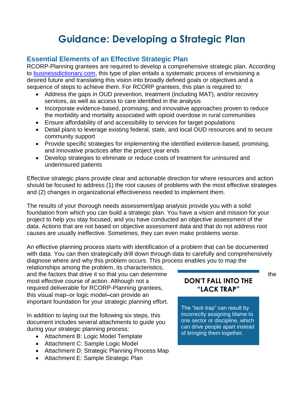## **Guidance: Developing a Strategic Plan**

## **Essential Elements of an Effective Strategic Plan**

RCORP-Planning grantees are required to develop a comprehensive strategic plan. According to [businessdictionary.com,](http://www.businessdictionary.com/definition/strategic-planning.html) this type of plan entails a [systematic](http://www.businessdictionary.com/definition/systematic.html) [process](http://www.businessdictionary.com/definition/process.html) of envisioning a desired future and translating this vision into broadly defined goals or objectives and a sequence of steps to [achieve](http://www.businessdictionary.com/definition/achieve.html) them. For RCORP grantees, this plan is required to:

- Address the gaps in OUD prevention, treatment (including MAT), and/or recovery services, as well as access to care identified in the analysis
- Incorporate evidence-based, promising, and innovative approaches proven to reduce the morbidity and mortality associated with opioid overdose in rural communities
- Ensure affordability of and accessibility to services for target populations
- Detail plans to leverage existing federal, state, and local OUD resources and to secure community support
- Provide specific strategies for implementing the identified evidence-based, promising, and innovative practices after the project year ends
- Develop strategies to eliminate or reduce costs of treatment for uninsured and underinsured patients

Effective strategic plans provide clear and actionable direction for where resources and action should be focused to address (1) the root causes of problems with the most effective strategies and (2) changes in organizational effectiveness needed to implement them.

The results of your thorough needs assessment/gap analysis provide you with a solid foundation from which you can build a strategic plan. You have a vision and mission for your project to help you stay focused, and you have conducted an objective assessment of the data. Actions that are not based on objective assessment data and that do not address root causes are usually ineffective. Sometimes, they can even make problems worse.

An effective planning process starts with identification of a problem that can be documented with data. You can then strategically drill down through data to carefully and comprehensively diagnose where and why this problem occurs. This process enables you to map the

relationships among the problem, its characteristics, and the factors that drive it so that you can determine the most effective course of action. Although not a required deliverable for RCORP-Planning grantees, this visual map–or logic model**–**can provide an important foundation for your strategic planning effort.

In addition to laying out the following six steps, this document includes several attachments to guide you during your strategic planning process:

- Attachment B: Logic Model Template
- Attachment C: Sample Logic Model
- Attachment D: Strategic Planning Process Map
- Attachment E: Sample Strategic Plan

## ✓The problem is well-**"LACK TRAP"DON'T FALL INTO THE**

The "lack trap" can result by incorrectly assigning blame to one sector or discipline, which can drive people apart instead of bringing them together.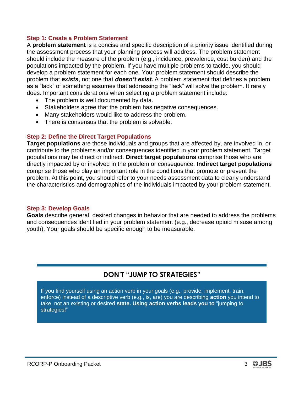#### **Step 1: Create a Problem Statement**

A **problem statement** is a concise and specific description of a priority issue identified during the assessment process that your planning process will address. The problem statement should include the measure of the problem (e.g., incidence, prevalence, cost burden) and the populations impacted by the problem. If you have multiple problems to tackle, you should develop a problem statement for each one. Your problem statement should describe the problem that *exists*, not one that *doesn't exist.* A problem statement that defines a problem as a "lack" of something assumes that addressing the "lack" will solve the problem. It rarely does. Important considerations when selecting a problem statement include:

- The problem is well documented by data.
- Stakeholders agree that the problem has negative consequences.
- Many stakeholders would like to address the problem.
- There is consensus that the problem is solvable.

#### **Step 2: Define the Direct Target Populations**

**Target populations** are those individuals and groups that are affected by, are involved in, or contribute to the problems and/or consequences identified in your problem statement. Target populations may be direct or indirect. **Direct target populations** comprise those who are directly impacted by or involved in the problem or consequence. **Indirect target populations**  comprise those who play an important role in the conditions that promote or prevent the problem. At this point, you should refer to your needs assessment data to clearly understand the characteristics and demographics of the individuals impacted by your problem statement.

#### **Step 3: Develop Goals**

**Goals** describe general, desired changes in behavior that are needed to address the problems and consequences identified in your problem statement (e.g., decrease opioid misuse among youth). Your goals should be specific enough to be measurable.

## **DON'T "JUMP TO STRATEGIES"**

If you find yourself using an action verb in your goals (e.g., provide, implement, train, enforce) instead of a descriptive verb (e.g., is, are) you are describing **action** you intend to take, not an existing or desired **state. Using action verbs leads you to** "jumping to strategies!"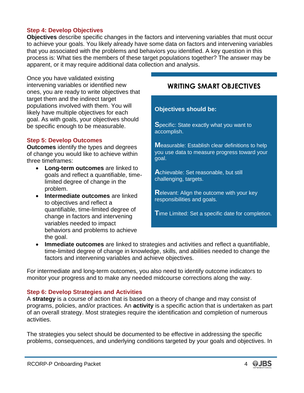#### **Step 4: Develop Objectives**

**Objectives** describe specific changes in the factors and intervening variables that must occur to achieve your goals. You likely already have some data on factors and intervening variables that you associated with the problems and behaviors you identified. A key question in this process is: What ties the members of these target populations together? The answer may be apparent, or it may require additional data collection and analysis.

Once you have validated existing intervening variables or identified new ones, you are ready to write objectives that target them and the indirect target populations involved with them. You will likely have multiple objectives for each goal. As with goals, your objectives should be specific enough to be measurable.

#### **Step 5: Develop Outcomes**

**Outcomes** identify the types and degrees of change you would like to achieve within three timeframes:

- **Long-term outcomes** are linked to goals and reflect a quantifiable, timelimited degree of change in the problem.
- **Intermediate outcomes** are linked to objectives and reflect a quantifiable, time-limited degree of change in factors and intervening variables needed to impact behaviors and problems to achieve the goal.

### **WRITING SMART OBJECTIVES**

#### **Objectives should be:**

**S**pecific: State exactly what you want to accomplish.

**M**easurable: Establish clear definitions to help you use data to measure progress toward your goal.

**A**chievable: Set reasonable, but still challenging, targets.

**R**elevant: Align the outcome with your key responsibilities and goals.

**T**ime Limited: Set a specific date for completion.

• **Immediate outcomes** are linked to strategies and activities and reflect a quantifiable, time-limited degree of change in knowledge, skills, and abilities needed to change the factors and intervening variables and achieve objectives.

For intermediate and long-term outcomes, you also need to identify outcome indicators to monitor your progress and to make any needed midcourse corrections along the way.

#### **Step 6: Develop Strategies and Activities**

A **strategy** is a course of action that is based on a theory of change and may consist of programs, policies, and/or practices. An **activity** is a specific action that is undertaken as part of an overall strategy. Most strategies require the identification and completion of numerous activities.

The strategies you select should be documented to be effective in addressing the specific problems, consequences, and underlying conditions targeted by your goals and objectives. In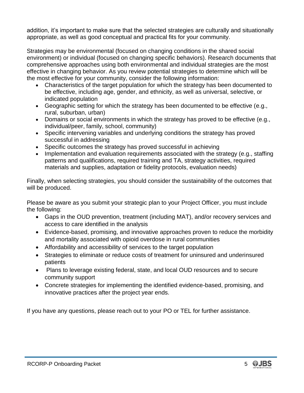addition, it's important to make sure that the selected strategies are culturally and situationally appropriate, as well as good conceptual and practical fits for your community.

Strategies may be environmental (focused on changing conditions in the shared social environment) or individual (focused on changing specific behaviors). Research documents that comprehensive approaches using both environmental and individual strategies are the most effective in changing behavior. As you review potential strategies to determine which will be the most effective for your community, consider the following information:

- Characteristics of the target population for which the strategy has been documented to be effective, including age, gender, and ethnicity, as well as universal, selective, or indicated population
- Geographic setting for which the strategy has been documented to be effective (e.g., rural, suburban, urban)
- Domains or social environments in which the strategy has proved to be effective (e.g., individual/peer, family, school, community)
- Specific intervening variables and underlying conditions the strategy has proved successful in addressing
- Specific outcomes the strategy has proved successful in achieving
- Implementation and evaluation requirements associated with the strategy (e.g., staffing patterns and qualifications, required training and TA, strategy activities, required materials and supplies, adaptation or fidelity protocols, evaluation needs)

Finally, when selecting strategies, you should consider the sustainability of the outcomes that will be produced.

Please be aware as you submit your strategic plan to your Project Officer, you must include the following:

- Gaps in the OUD prevention, treatment (including MAT), and/or recovery services and access to care identified in the analysis
- Evidence-based, promising, and innovative approaches proven to reduce the morbidity and mortality associated with opioid overdose in rural communities
- Affordability and accessibility of services to the target population
- Strategies to eliminate or reduce costs of treatment for uninsured and underinsured patients
- Plans to leverage existing federal, state, and local OUD resources and to secure community support
- Concrete strategies for implementing the identified evidence-based, promising, and innovative practices after the project year ends.

If you have any questions, please reach out to your PO or TEL for further assistance.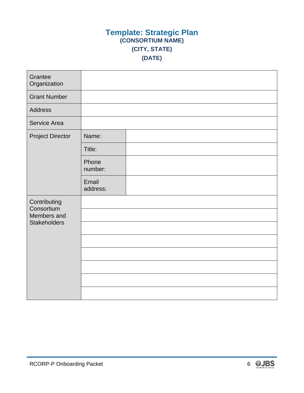## **Template: Strategic Plan (CONSORTIUM NAME) (CITY, STATE) (DATE)**

| Grantee<br>Organization                                          |                   |  |
|------------------------------------------------------------------|-------------------|--|
| <b>Grant Number</b>                                              |                   |  |
| <b>Address</b>                                                   |                   |  |
| Service Area                                                     |                   |  |
| <b>Project Director</b>                                          | Name:             |  |
|                                                                  | Title:            |  |
|                                                                  | Phone<br>number:  |  |
|                                                                  | Email<br>address: |  |
| Contributing<br>Consortium<br>Members and<br><b>Stakeholders</b> |                   |  |
|                                                                  |                   |  |
|                                                                  |                   |  |
|                                                                  |                   |  |
|                                                                  |                   |  |
|                                                                  |                   |  |
|                                                                  |                   |  |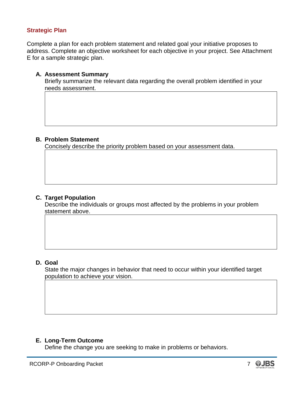#### **Strategic Plan**

Complete a plan for each problem statement and related goal your initiative proposes to address. Complete an objective worksheet for each objective in your project. See Attachment E for a sample strategic plan.

#### **A. Assessment Summary**

Briefly summarize the relevant data regarding the overall problem identified in your needs assessment.

#### **B. Problem Statement**

Concisely describe the priority problem based on your assessment data.

#### **C. Target Population**

Describe the individuals or groups most affected by the problems in your problem statement above.

#### **D. Goal**

State the major changes in behavior that need to occur within your identified target population to achieve your vision.

#### **E. Long-Term Outcome**

Define the change you are seeking to make in problems or behaviors.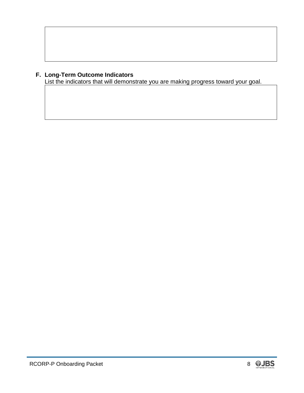#### **F. Long-Term Outcome Indicators**

List the indicators that will demonstrate you are making progress toward your goal.